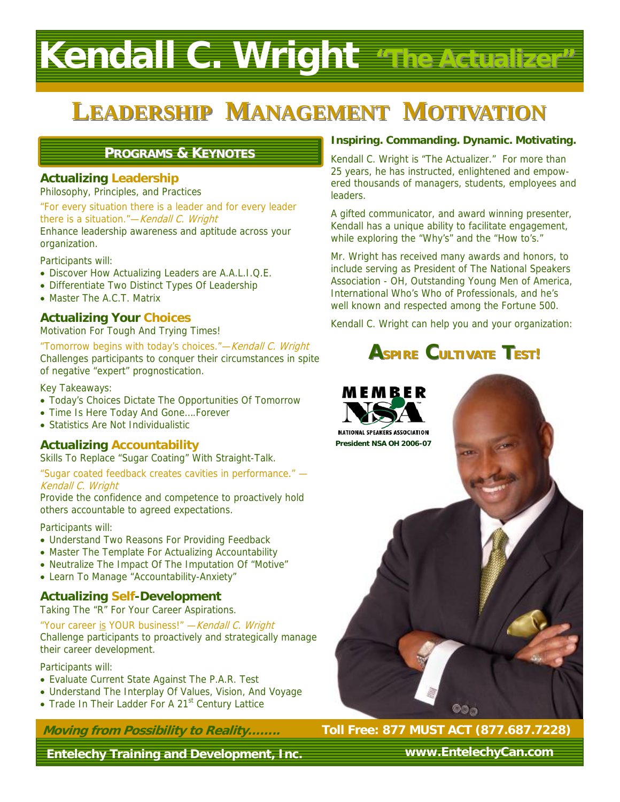# **Kendall C. Wright "The Actualizer" "The Actualizer"**

## **LEADERSHIP MANAGEMENT MOTIVATION**

### **PROGRAMS & KEYNOTES**

### **Actualizing Leadership**

Philosophy, Principles, and Practices

"For every situation there is a leader and for every leader there is a situation."-Kendall C. Wright

Enhance leadership awareness and aptitude across your organization.

Participants will:

- Discover How Actualizing Leaders are A.A.L.I.Q.E.
- Differentiate Two Distinct Types Of Leadership
- Master The A.C.T. Matrix

### **Actualizing Your Choices**

Motivation For Tough And Trying Times!

"Tomorrow begins with today's choices."—Kendall C. Wright Challenges participants to conquer their circumstances in spite of negative "expert" prognostication.

Key Takeaways:

- Today's Choices Dictate The Opportunities Of Tomorrow
- Time Is Here Today And Gone….Forever
- Statistics Are Not Individualistic

### **Actualizing Accountability**

Skills To Replace "Sugar Coating" With Straight-Talk.

"Sugar coated feedback creates cavities in performance." — Kendall C. Wright

Provide the confidence and competence to proactively hold others accountable to agreed expectations.

### Participants will:

- Understand Two Reasons For Providing Feedback
- Master The Template For Actualizing Accountability
- Neutralize The Impact Of The Imputation Of "Motive"
- Learn To Manage "Accountability-Anxiety"

### **Actualizing Self-Development**

Taking The "R" For Your Career Aspirations.

"Your career is YOUR business!" - Kendall C. Wright Challenge participants to proactively and strategically manage their career development.

### Participants will:

- Evaluate Current State Against The P.A.R. Test
- Understand The Interplay Of Values, Vision, And Voyage
- Trade In Their Ladder For A 21<sup>st</sup> Century Lattice

**Moving from Possibility to Reality……..**

**Entelechy Training and Development, Inc.** 

### **Inspiring. Commanding. Dynamic. Motivating.**

Kendall C. Wright is "The Actualizer." For more than 25 years, he has instructed, enlightened and empowered thousands of managers, students, employees and leaders.

A gifted communicator, and award winning presenter, Kendall has a unique ability to facilitate engagement, while exploring the "Why's" and the "How to's."

Mr. Wright has received many awards and honors, to include serving as President of The National Speakers Association - OH, Outstanding Young Men of America, International Who's Who of Professionals, and he's well known and respected among the Fortune 500.

Kendall C. Wright can help you and your organization:

### **ASPIRE CULTIVATE TEST!**



**Toll Free: 877 MUST ACT (877.687.7228)** 

**www.EntelechyCan.com**